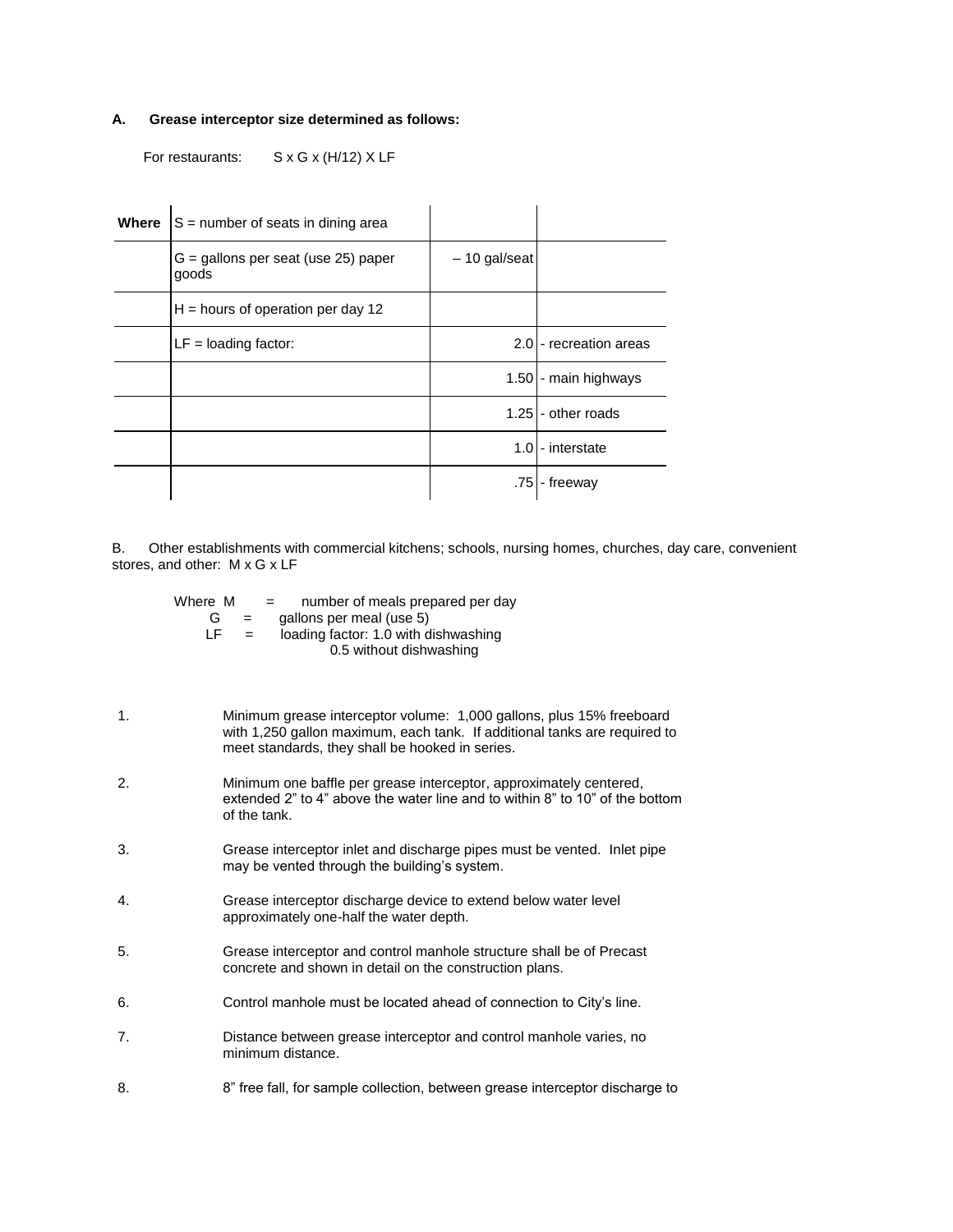## **A. Grease interceptor size determined as follows:**

For restaurants: S x G x (H/12) X LF

| Where | $S =$ number of seats in dining area           |                |                        |
|-------|------------------------------------------------|----------------|------------------------|
|       | $G =$ gallons per seat (use 25) paper<br>goods | $-10$ gal/seat |                        |
|       | $H =$ hours of operation per day 12            |                |                        |
|       | $LF =$ loading factor:                         |                | 2.0 - recreation areas |
|       |                                                |                | 1.50 - main highways   |
|       |                                                |                | 1.25 - other roads     |
|       |                                                |                | 1.0 - interstate       |
|       |                                                |                | .75 - freeway          |

B. Other establishments with commercial kitchens; schools, nursing homes, churches, day care, convenient stores, and other: M x G x LF

|    | Where M<br>number of meals prepared per day<br>$=$ $-$<br>gallons per meal (use 5)<br>G<br>$=$ $-$<br>LF.<br>loading factor: 1.0 with dishwashing<br>$=$<br>0.5 without dishwashing                  |
|----|------------------------------------------------------------------------------------------------------------------------------------------------------------------------------------------------------|
| 1. | Minimum grease interceptor volume: 1,000 gallons, plus 15% freeboard<br>with 1,250 gallon maximum, each tank. If additional tanks are required to<br>meet standards, they shall be hooked in series. |
| 2. | Minimum one baffle per grease interceptor, approximately centered,<br>extended 2" to 4" above the water line and to within 8" to 10" of the bottom<br>of the tank.                                   |
| 3. | Grease interceptor inlet and discharge pipes must be vented. Inlet pipe<br>may be vented through the building's system.                                                                              |
| 4. | Grease interceptor discharge device to extend below water level<br>approximately one-half the water depth.                                                                                           |
| 5. | Grease interceptor and control manhole structure shall be of Precast<br>concrete and shown in detail on the construction plans.                                                                      |
| 6. | Control manhole must be located ahead of connection to City's line.                                                                                                                                  |
| 7. | Distance between grease interceptor and control manhole varies, no<br>minimum distance.                                                                                                              |
| 8. | 8" free fall, for sample collection, between grease interceptor discharge to                                                                                                                         |